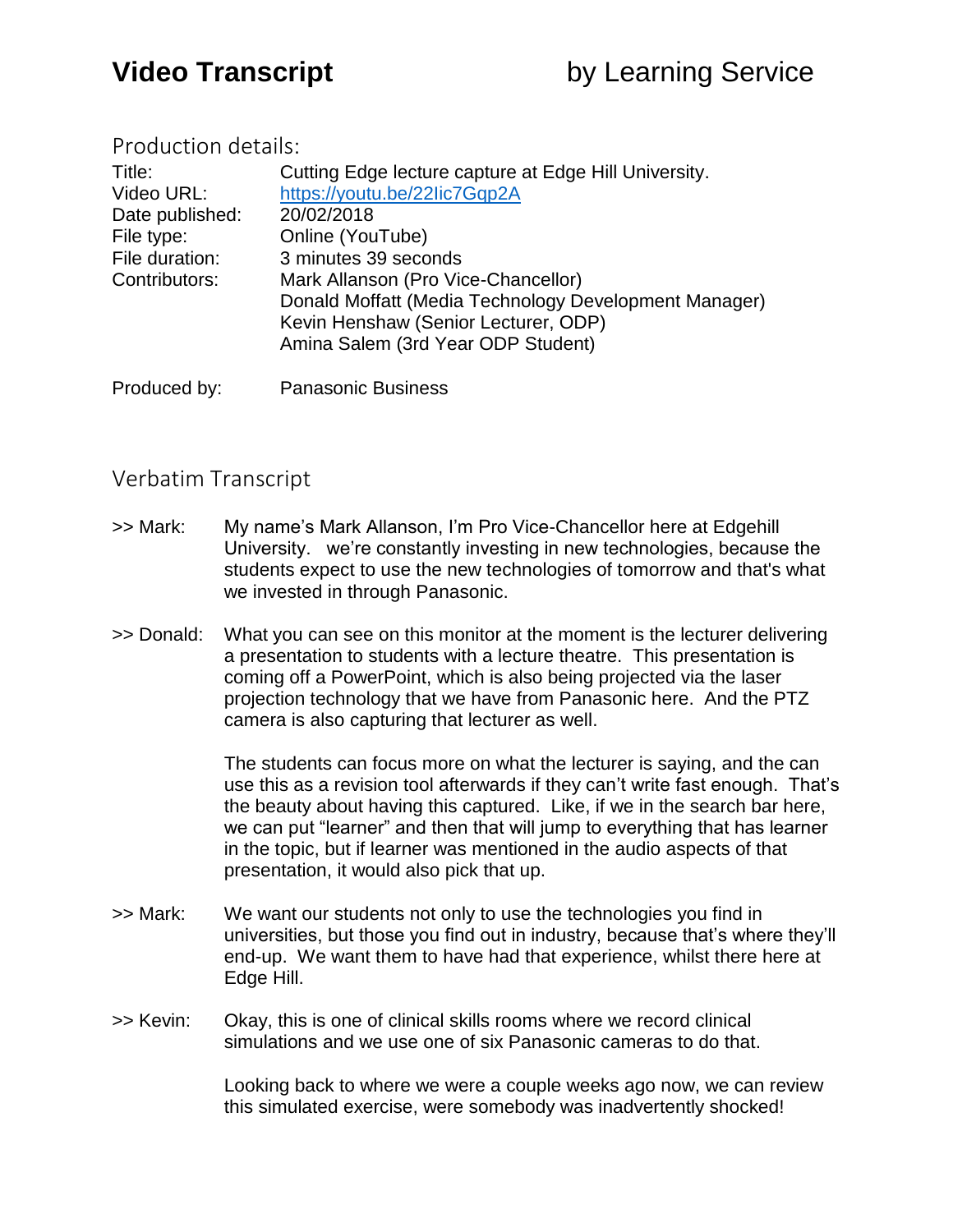## Production details:

| Title:          | Cutting Edge lecture capture at Edge Hill University. |
|-----------------|-------------------------------------------------------|
| Video URL:      | https://youtu.be/22lic7Gqp2A                          |
| Date published: | 20/02/2018                                            |
| File type:      | Online (YouTube)                                      |
| File duration:  | 3 minutes 39 seconds                                  |
| Contributors:   | Mark Allanson (Pro Vice-Chancellor)                   |
|                 | Donald Moffatt (Media Technology Development Manager) |
|                 | Kevin Henshaw (Senior Lecturer, ODP)                  |
|                 | Amina Salem (3rd Year ODP Student)                    |
|                 |                                                       |

Produced by: Panasonic Business

## Verbatim Transcript

- >> Mark: My name's Mark Allanson, I'm Pro Vice-Chancellor here at Edgehill University. we're constantly investing in new technologies, because the students expect to use the new technologies of tomorrow and that's what we invested in through Panasonic.
- >> Donald: What you can see on this monitor at the moment is the lecturer delivering a presentation to students with a lecture theatre. This presentation is coming off a PowerPoint, which is also being projected via the laser projection technology that we have from Panasonic here. And the PTZ camera is also capturing that lecturer as well.

The students can focus more on what the lecturer is saying, and the can use this as a revision tool afterwards if they can't write fast enough. That's the beauty about having this captured. Like, if we in the search bar here, we can put "learner" and then that will jump to everything that has learner in the topic, but if learner was mentioned in the audio aspects of that presentation, it would also pick that up.

- >> Mark: We want our students not only to use the technologies you find in universities, but those you find out in industry, because that's where they'll end-up. We want them to have had that experience, whilst there here at Edge Hill.
- >> Kevin: Okay, this is one of clinical skills rooms where we record clinical simulations and we use one of six Panasonic cameras to do that.

Looking back to where we were a couple weeks ago now, we can review this simulated exercise, were somebody was inadvertently shocked!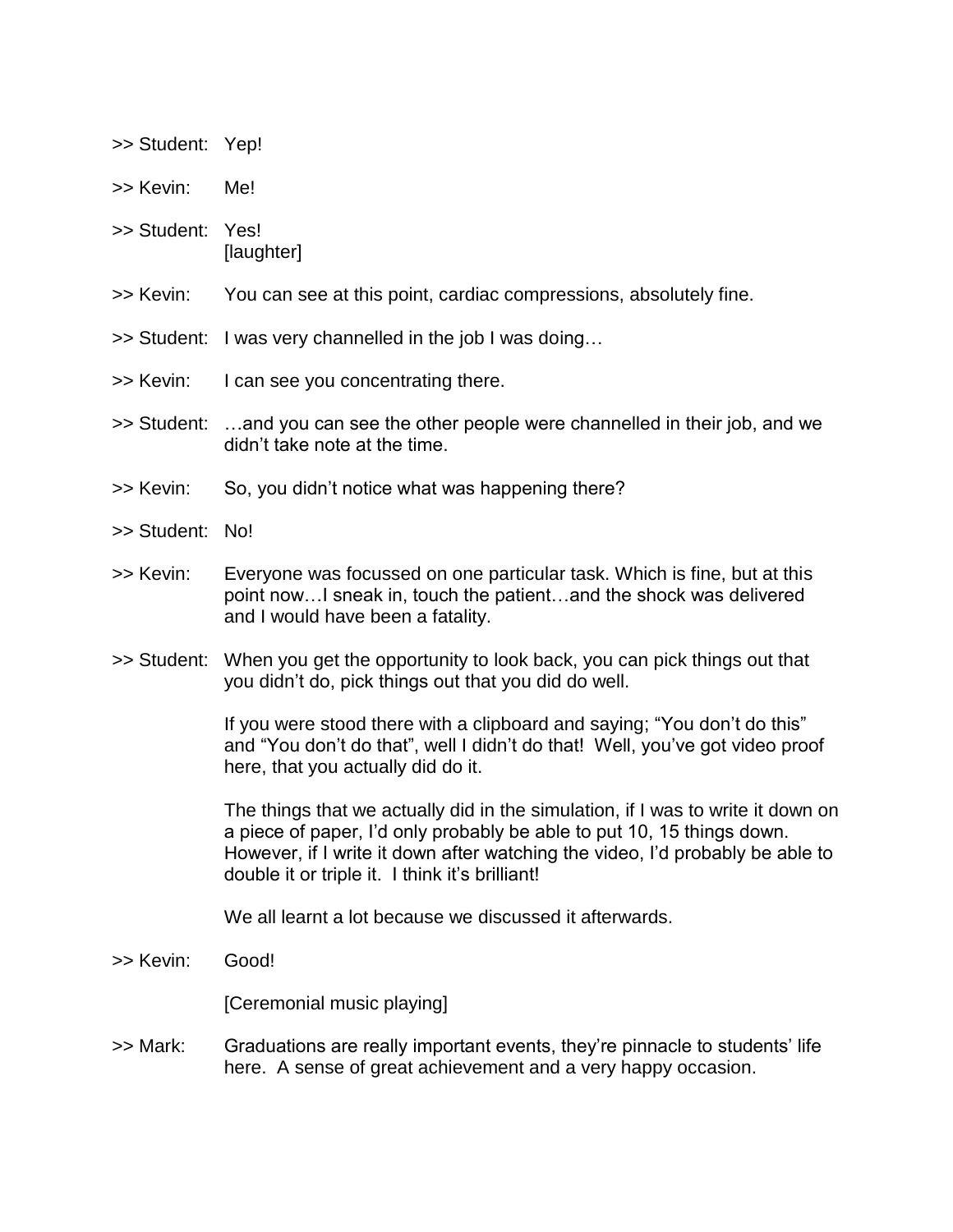- >> Student: Yep!
- >> Kevin: Me!
- >> Student: Yes! [laughter]
- >> Kevin: You can see at this point, cardiac compressions, absolutely fine.
- >> Student: I was very channelled in the job I was doing…
- >> Kevin: I can see you concentrating there.
- >> Student: …and you can see the other people were channelled in their job, and we didn't take note at the time.
- >> Kevin: So, you didn't notice what was happening there?
- >> Student: No!
- >> Kevin: Everyone was focussed on one particular task. Which is fine, but at this point now…I sneak in, touch the patient…and the shock was delivered and I would have been a fatality.
- >> Student: When you get the opportunity to look back, you can pick things out that you didn't do, pick things out that you did do well.

If you were stood there with a clipboard and saying; "You don't do this" and "You don't do that", well I didn't do that! Well, you've got video proof here, that you actually did do it.

The things that we actually did in the simulation, if I was to write it down on a piece of paper, I'd only probably be able to put 10, 15 things down. However, if I write it down after watching the video, I'd probably be able to double it or triple it. I think it's brilliant!

We all learnt a lot because we discussed it afterwards.

>> Kevin: Good!

[Ceremonial music playing]

>> Mark: Graduations are really important events, they're pinnacle to students' life here. A sense of great achievement and a very happy occasion.